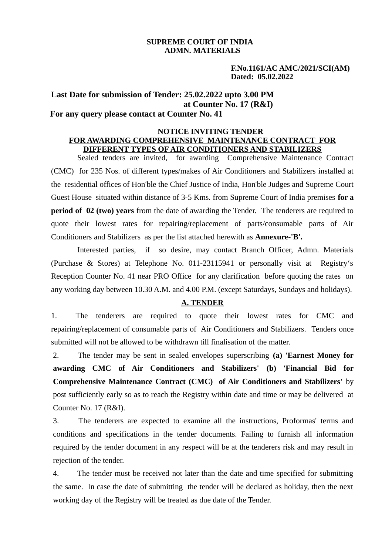# **SUPREME COURT OF INDIA ADMN. MATERIALS**

 **F.No.1161/AC AMC/2021/SCI(AM) Dated: 05.02.2022** 

# **Last Date for submission of Tender: 25.02.2022 upto 3.00 PM at Counter No. 17 (R&I) For any query please contact at Counter No. 41**

#### **NOTICE INVITING TENDER FOR AWARDING COMPREHENSIVE MAINTENANCE CONTRACT FOR DIFFERENT TYPES OF AIR CONDITIONERS AND STABILIZERS**

Sealed tenders are invited, for awarding Comprehensive Maintenance Contract (CMC) for 235 Nos. of different types/makes of Air Conditioners and Stabilizers installed at the residential offices of Hon'ble the Chief Justice of India, Hon'ble Judges and Supreme Court Guest House situated within distance of 3-5 Kms. from Supreme Court of India premises **for a period of 02 (two) years** from the date of awarding the Tender. The tenderers are required to quote their lowest rates for repairing/replacement of parts/consumable parts of Air Conditioners and Stabilizers as per the list attached herewith as **Annexure-'B'.**

Interested parties, if so desire, may contact Branch Officer, Admn. Materials (Purchase & Stores) at Telephone No. 011-23115941 or personally visit at Registry's Reception Counter No. 41 near PRO Office for any clarification before quoting the rates on any working day between 10.30 A.M. and 4.00 P.M. (except Saturdays, Sundays and holidays).

## **A. TENDER**

1. The tenderers are required to quote their lowest rates for CMC and repairing/replacement of consumable parts of Air Conditioners and Stabilizers. Tenders once submitted will not be allowed to be withdrawn till finalisation of the matter.

2. The tender may be sent in sealed envelopes superscribing **(a) 'Earnest Money for awarding CMC of Air Conditioners and Stabilizers' (b) 'Financial Bid for Comprehensive Maintenance Contract (CMC) of Air Conditioners and Stabilizers'** by post sufficiently early so as to reach the Registry within date and time or may be delivered at Counter No. 17 (R&I).

3. The tenderers are expected to examine all the instructions, Proformas' terms and conditions and specifications in the tender documents. Failing to furnish all information required by the tender document in any respect will be at the tenderers risk and may result in rejection of the tender.

4. The tender must be received not later than the date and time specified for submitting the same. In case the date of submitting the tender will be declared as holiday, then the next working day of the Registry will be treated as due date of the Tender.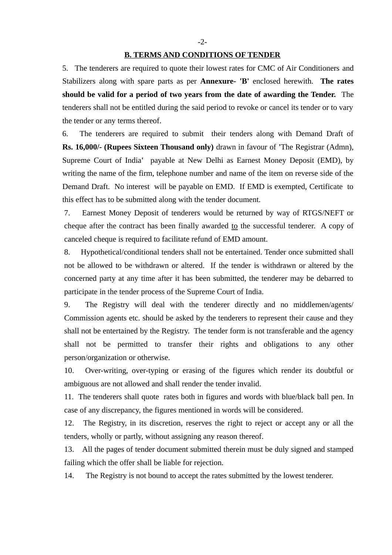5. The tenderers are required to quote their lowest rates for CMC of Air Conditioners and Stabilizers along with spare parts as per **Annexure- 'B'** enclosed herewith. **The rates should be valid for a period of two years from the date of awarding the Tender.** The tenderers shall not be entitled during the said period to revoke or cancel its tender or to vary the tender or any terms thereof.

6. The tenderers are required to submit their tenders along with Demand Draft of **Rs. 16,000/- (Rupees Sixteen Thousand only)** drawn in favour of **'**The Registrar (Admn), Supreme Court of India**'** payable at New Delhi as Earnest Money Deposit (EMD), by writing the name of the firm, telephone number and name of the item on reverse side of the Demand Draft. No interest will be payable on EMD. If EMD is exempted, Certificate to this effect has to be submitted along with the tender document.

7. Earnest Money Deposit of tenderers would be returned by way of RTGS/NEFT or cheque after the contract has been finally awarded to the successful tenderer. A copy of canceled cheque is required to facilitate refund of EMD amount.

8. Hypothetical/conditional tenders shall not be entertained. Tender once submitted shall not be allowed to be withdrawn or altered. If the tender is withdrawn or altered by the concerned party at any time after it has been submitted, the tenderer may be debarred to participate in the tender process of the Supreme Court of India.

9. The Registry will deal with the tenderer directly and no middlemen/agents/ Commission agents etc. should be asked by the tenderers to represent their cause and they shall not be entertained by the Registry. The tender form is not transferable and the agency shall not be permitted to transfer their rights and obligations to any other person/organization or otherwise.

10. Over-writing, over-typing or erasing of the figures which render its doubtful or ambiguous are not allowed and shall render the tender invalid.

11. The tenderers shall quote rates both in figures and words with blue/black ball pen. In case of any discrepancy, the figures mentioned in words will be considered.

12. The Registry, in its discretion, reserves the right to reject or accept any or all the tenders, wholly or partly, without assigning any reason thereof.

13. All the pages of tender document submitted therein must be duly signed and stamped failing which the offer shall be liable for rejection.

14. The Registry is not bound to accept the rates submitted by the lowest tenderer.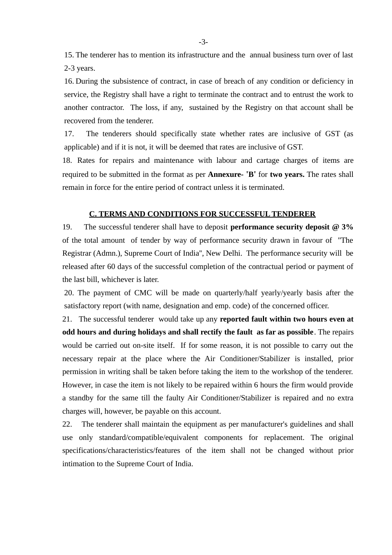15. The tenderer has to mention its infrastructure and the annual business turn over of last 2-3 years.

16. During the subsistence of contract, in case of breach of any condition or deficiency in service, the Registry shall have a right to terminate the contract and to entrust the work to another contractor. The loss, if any, sustained by the Registry on that account shall be recovered from the tenderer.

17. The tenderers should specifically state whether rates are inclusive of GST (as applicable) and if it is not, it will be deemed that rates are inclusive of GST.

18. Rates for repairs and maintenance with labour and cartage charges of items are required to be submitted in the format as per **Annexure- 'B'** for **two years.** The rates shall remain in force for the entire period of contract unless it is terminated.

### **C. TERMS AND CONDITIONS FOR SUCCESSFUL TENDERER**

19. The successful tenderer shall have to deposit **performance security deposit @ 3%** of the total amount of tender by way of performance security drawn in favour of ''The Registrar (Admn.), Supreme Court of India'', New Delhi. The performance security will be released after 60 days of the successful completion of the contractual period or payment of the last bill, whichever is later.

20. The payment of CMC will be made on quarterly/half yearly/yearly basis after the satisfactory report (with name, designation and emp. code) of the concerned officer.

21. The successful tenderer would take up any **reported fault within two hours even at odd hours and during holidays and shall rectify the fault as far as possible**. The repairs would be carried out on-site itself. If for some reason, it is not possible to carry out the necessary repair at the place where the Air Conditioner/Stabilizer is installed, prior permission in writing shall be taken before taking the item to the workshop of the tenderer. However, in case the item is not likely to be repaired within 6 hours the firm would provide a standby for the same till the faulty Air Conditioner/Stabilizer is repaired and no extra charges will, however, be payable on this account.

22. The tenderer shall maintain the equipment as per manufacturer's guidelines and shall use only standard/compatible/equivalent components for replacement. The original specifications/characteristics/features of the item shall not be changed without prior intimation to the Supreme Court of India.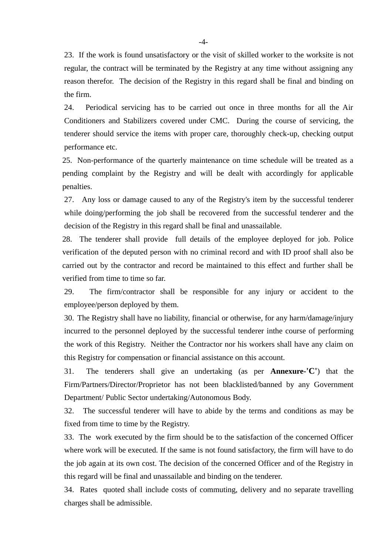23. If the work is found unsatisfactory or the visit of skilled worker to the worksite is not regular, the contract will be terminated by the Registry at any time without assigning any reason therefor. The decision of the Registry in this regard shall be final and binding on the firm.

24. Periodical servicing has to be carried out once in three months for all the Air Conditioners and Stabilizers covered under CMC. During the course of servicing, the tenderer should service the items with proper care, thoroughly check-up, checking output performance etc.

25. Non-performance of the quarterly maintenance on time schedule will be treated as a pending complaint by the Registry and will be dealt with accordingly for applicable penalties.

27. Any loss or damage caused to any of the Registry's item by the successful tenderer while doing/performing the job shall be recovered from the successful tenderer and the decision of the Registry in this regard shall be final and unassailable.

28. The tenderer shall provide full details of the employee deployed for job. Police verification of the deputed person with no criminal record and with ID proof shall also be carried out by the contractor and record be maintained to this effect and further shall be verified from time to time so far.

29. The firm/contractor shall be responsible for any injury or accident to the employee/person deployed by them.

30. The Registry shall have no liability, financial or otherwise, for any harm/damage/injury incurred to the personnel deployed by the successful tenderer inthe course of performing the work of this Registry. Neither the Contractor nor his workers shall have any claim on this Registry for compensation or financial assistance on this account.

31. The tenderers shall give an undertaking (as per **Annexure-'C'**) that the Firm/Partners/Director/Proprietor has not been blacklisted/banned by any Government Department/ Public Sector undertaking/Autonomous Body.

32. The successful tenderer will have to abide by the terms and conditions as may be fixed from time to time by the Registry.

33. The work executed by the firm should be to the satisfaction of the concerned Officer where work will be executed. If the same is not found satisfactory, the firm will have to do the job again at its own cost. The decision of the concerned Officer and of the Registry in this regard will be final and unassailable and binding on the tenderer.

34. Rates quoted shall include costs of commuting, delivery and no separate travelling charges shall be admissible.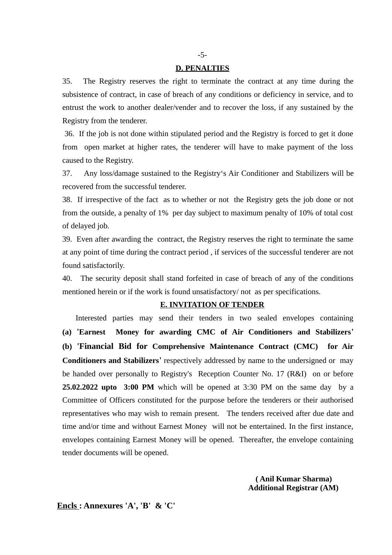#### **D. PENALTIES**

35. The Registry reserves the right to terminate the contract at any time during the subsistence of contract, in case of breach of any conditions or deficiency in service, and to entrust the work to another dealer/vender and to recover the loss, if any sustained by the Registry from the tenderer.

 36. If the job is not done within stipulated period and the Registry is forced to get it done from open market at higher rates, the tenderer will have to make payment of the loss caused to the Registry.

37. Any loss/damage sustained to the Registry's Air Conditioner and Stabilizers will be recovered from the successful tenderer.

38. If irrespective of the fact as to whether or not the Registry gets the job done or not from the outside, a penalty of 1% per day subject to maximum penalty of 10% of total cost of delayed job.

39. Even after awarding the contract, the Registry reserves the right to terminate the same at any point of time during the contract period , if services of the successful tenderer are not found satisfactorily.

40. The security deposit shall stand forfeited in case of breach of any of the conditions mentioned herein or if the work is found unsatisfactory/ not as per specifications.

#### **E. INVITATION OF TENDER**

Interested parties may send their tenders in two sealed envelopes containing **(a) 'Earnest Money for awarding CMC of Air Conditioners and Stabilizers' (b) 'Financial Bid for Comprehensive Maintenance Contract (CMC) for Air Conditioners and Stabilizers'** respectively addressed by name to the undersigned or may be handed over personally to Registry's Reception Counter No. 17 (R&I) on or before **25.02.2022 upto 3:00 PM** which will be opened at 3:30 PM on the same day by a Committee of Officers constituted for the purpose before the tenderers or their authorised representatives who may wish to remain present. The tenders received after due date and time and/or time and without Earnest Money will not be entertained. In the first instance, envelopes containing Earnest Money will be opened. Thereafter, the envelope containing tender documents will be opened.

> **( Anil Kumar Sharma) Additional Registrar (AM)**

**Encls : Annexures 'A', 'B' & 'C'**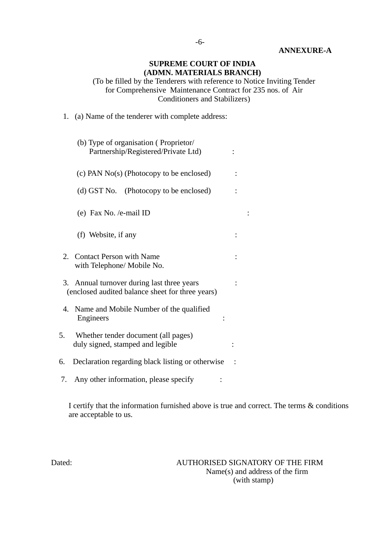### **ANNEXURE-A**

# **SUPREME COURT OF INDIA (ADMN. MATERIALS BRANCH)**

(To be filled by the Tenderers with reference to Notice Inviting Tender for Comprehensive Maintenance Contract for 235 nos. of Air Conditioners and Stabilizers)

1. (a) Name of the tenderer with complete address:

| (b) Type of organisation (Proprietor/<br>Partnership/Registered/Private Ltd)                      |  |  |
|---------------------------------------------------------------------------------------------------|--|--|
| (c) PAN No(s) (Photocopy to be enclosed)                                                          |  |  |
| (d) GST No. (Photocopy to be enclosed)                                                            |  |  |
| (e) Fax No. /e-mail ID                                                                            |  |  |
| (f) Website, if any                                                                               |  |  |
| <b>Contact Person with Name</b><br>2.<br>with Telephone/ Mobile No.                               |  |  |
| Annual turnover during last three years<br>3.<br>(enclosed audited balance sheet for three years) |  |  |
| 4. Name and Mobile Number of the qualified<br><b>Engineers</b>                                    |  |  |
| Whether tender document (all pages)<br>5.<br>duly signed, stamped and legible                     |  |  |
| 6.<br>Declaration regarding black listing or otherwise                                            |  |  |
| Any other information, please specify<br>7.                                                       |  |  |

I certify that the information furnished above is true and correct. The terms & conditions are acceptable to us.

Dated: AUTHORISED SIGNATORY OF THE FIRM Name(s) and address of the firm (with stamp)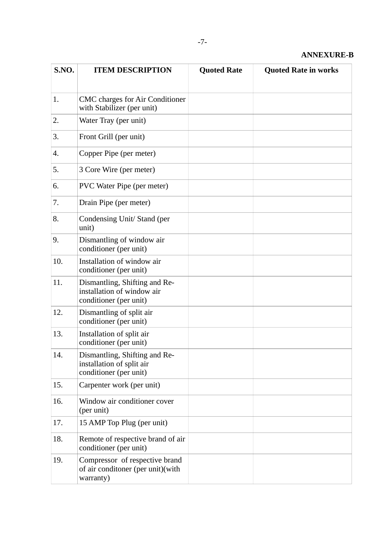| S.NO. | <b>ITEM DESCRIPTION</b>                                                               | <b>Quoted Rate</b> | <b>Quoted Rate in works</b> |
|-------|---------------------------------------------------------------------------------------|--------------------|-----------------------------|
|       |                                                                                       |                    |                             |
| 1.    | <b>CMC</b> charges for Air Conditioner<br>with Stabilizer (per unit)                  |                    |                             |
| 2.    | Water Tray (per unit)                                                                 |                    |                             |
| 3.    | Front Grill (per unit)                                                                |                    |                             |
| 4.    | Copper Pipe (per meter)                                                               |                    |                             |
| 5.    | 3 Core Wire (per meter)                                                               |                    |                             |
| 6.    | <b>PVC Water Pipe (per meter)</b>                                                     |                    |                             |
| 7.    | Drain Pipe (per meter)                                                                |                    |                             |
| 8.    | Condensing Unit/ Stand (per<br>unit)                                                  |                    |                             |
| 9.    | Dismantling of window air<br>conditioner (per unit)                                   |                    |                             |
| 10.   | Installation of window air<br>conditioner (per unit)                                  |                    |                             |
| 11.   | Dismantling, Shifting and Re-<br>installation of window air<br>conditioner (per unit) |                    |                             |
| 12.   | Dismantling of split air<br>conditioner (per unit)                                    |                    |                             |
| 13.   | Installation of split air<br>conditioner (per unit)                                   |                    |                             |
| 14.   | Dismantling, Shifting and Re-<br>installation of split air<br>conditioner (per unit)  |                    |                             |
| 15.   | Carpenter work (per unit)                                                             |                    |                             |
| 16.   | Window air conditioner cover<br>(per unit)                                            |                    |                             |
| 17.   | 15 AMP Top Plug (per unit)                                                            |                    |                             |
| 18.   | Remote of respective brand of air<br>conditioner (per unit)                           |                    |                             |
| 19.   | Compressor of respective brand<br>of air conditoner (per unit)(with<br>warranty)      |                    |                             |